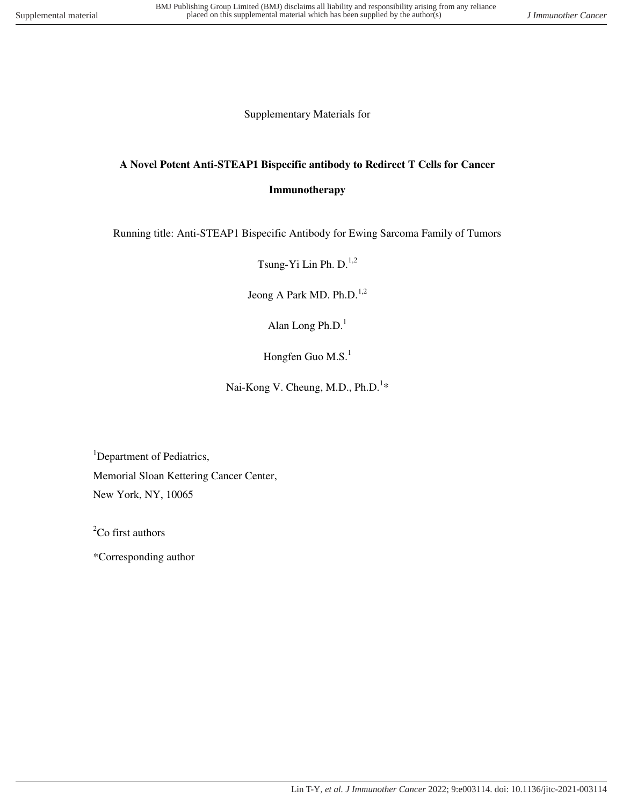Supplementary Materials for

# **A Novel Potent Anti-STEAP1 Bispecific antibody to Redirect T Cells for Cancer**

#### **Immunotherapy**

Running title: Anti-STEAP1 Bispecific Antibody for Ewing Sarcoma Family of Tumors

Tsung-Yi Lin Ph.  $D^{1,2}$ 

Jeong A Park MD. Ph.D.<sup>1,2</sup>

Alan Long Ph.D. $<sup>1</sup>$ </sup>

Hongfen Guo M.S. $<sup>1</sup>$ </sup>

Nai-Kong V. Cheung, M.D., Ph.D.<sup>1\*</sup>

<sup>1</sup>Department of Pediatrics, Memorial Sloan Kettering Cancer Center, New York, NY, 10065

 ${}^{2}$ Co first authors

\*Corresponding author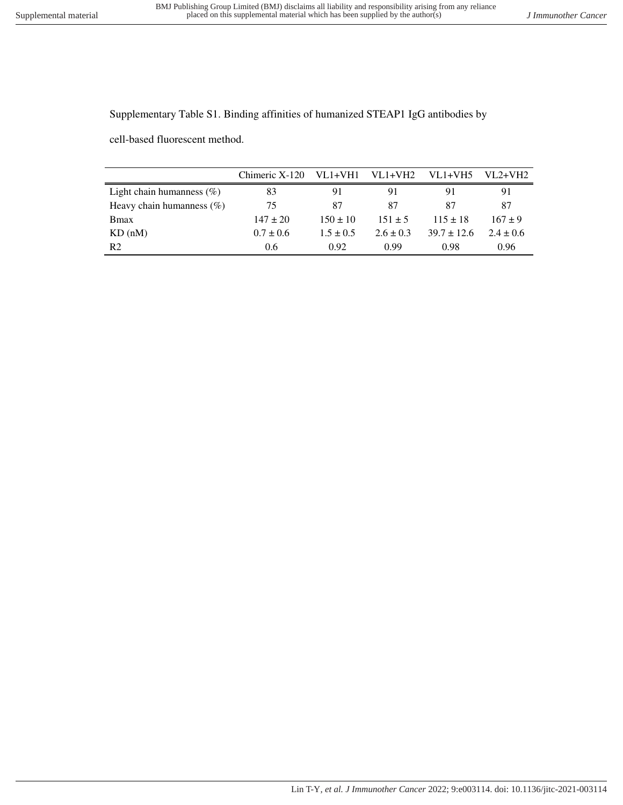Supplementary Table S1. Binding affinities of humanized STEAP1 IgG antibodies by

cell-based fluorescent method.

|                              | Chimeric X-120 | VL1+VH1       | $VL1+VH2$     | $VL1+VH5$       | $VI.2+VH2$  |
|------------------------------|----------------|---------------|---------------|-----------------|-------------|
| Light chain humanness $(\%)$ | 83             | 91            | 91            | 91              | 91          |
| Heavy chain humanness $(\%)$ | 75             | 87            | 87            | 87              | 87          |
| <b>B</b> max                 | $147 \pm 20$   | $150 + 10$    | $151 + 5$     | $115 \pm 18$    | $167 + 9$   |
| KD(nM)                       | $0.7 \pm 0.6$  | $1.5 \pm 0.5$ | $2.6 \pm 0.3$ | $39.7 \pm 12.6$ | $2.4 + 0.6$ |
| R <sub>2</sub>               | 0.6            | 0.92          | 0.99          | 0.98            | 0.96        |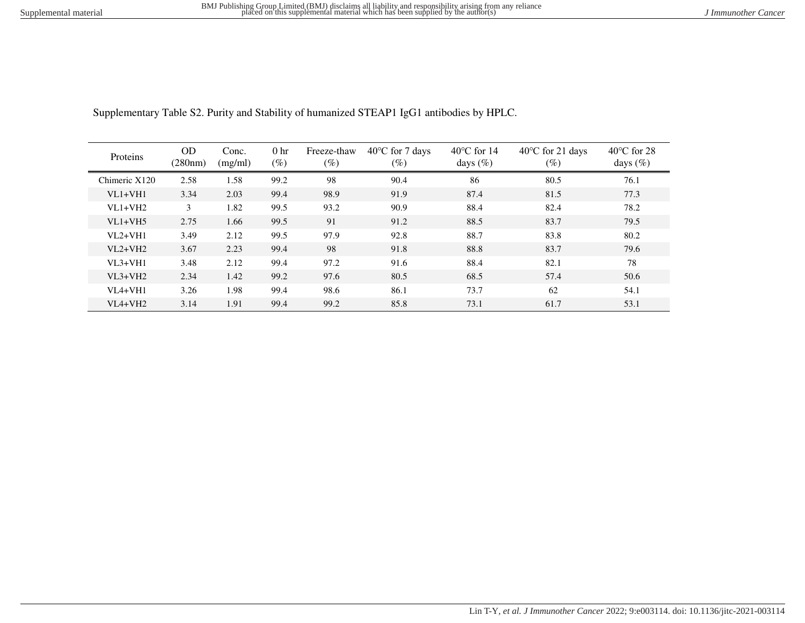| Proteins      | OD      | Conc.   | 0 <sub>hr</sub> | Freeze-thaw | $40^{\circ}$ C for 7 days | $40^{\circ}$ C for 14 | $40^{\circ}$ C for 21 days | $40^{\circ}$ C for 28 |
|---------------|---------|---------|-----------------|-------------|---------------------------|-----------------------|----------------------------|-----------------------|
|               | (280nm) | (mg/ml) | $(\%)$          | $(\%)$      | $(\%)$                    | days $(\%)$           | $(\%)$                     | days $(\%)$           |
| Chimeric X120 | 2.58    | 1.58    | 99.2            | 98          | 90.4                      | 86                    | 80.5                       | 76.1                  |
| $VI.1+VH1$    | 3.34    | 2.03    | 99.4            | 98.9        | 91.9                      | 87.4                  | 81.5                       | 77.3                  |
| $VI.1+VH2$    | 3       | 1.82    | 99.5            | 93.2        | 90.9                      | 88.4                  | 82.4                       | 78.2                  |
| $VI.1+VH5$    | 2.75    | 1.66    | 99.5            | 91          | 91.2                      | 88.5                  | 83.7                       | 79.5                  |
| $VI.2+VH1$    | 3.49    | 2.12    | 99.5            | 97.9        | 92.8                      | 88.7                  | 83.8                       | 80.2                  |
| $VI.2+VH2$    | 3.67    | 2.23    | 99.4            | 98          | 91.8                      | 88.8                  | 83.7                       | 79.6                  |
| $VI.3+VHI$    | 3.48    | 2.12    | 99.4            | 97.2        | 91.6                      | 88.4                  | 82.1                       | 78                    |
| $VI.3+VH2$    | 2.34    | 1.42    | 99.2            | 97.6        | 80.5                      | 68.5                  | 57.4                       | 50.6                  |
| $VIA+VH1$     | 3.26    | 1.98    | 99.4            | 98.6        | 86.1                      | 73.7                  | 62                         | 54.1                  |
| $VIA+VH2$     | 3.14    | 1.91    | 99.4            | 99.2        | 85.8                      | 73.1                  | 61.7                       | 53.1                  |

Supplementary Table S2. Purity and Stability of humanized STEAP1 IgG1 antibodies by HPLC.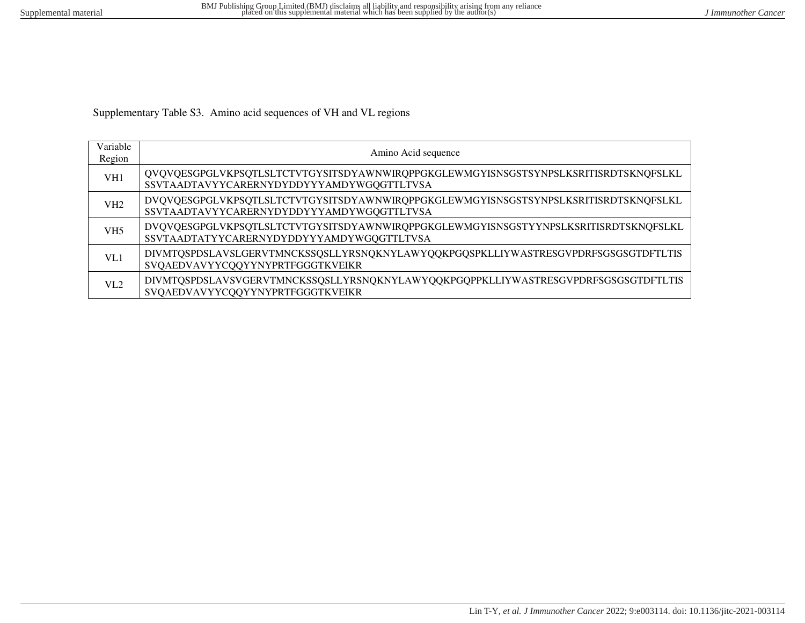Supplementary Table S3. Amino acid sequences of VH and VL regions

| Variable<br>Region | Amino Acid sequence                                                                                                              |
|--------------------|----------------------------------------------------------------------------------------------------------------------------------|
| VH1                | QVQVQESGPGLVKPSQTLSLTCTVTGYSITSDYAWNWIRQPPGKGLEWMGYISNSGSTSYNPSLKSRITISRDTSKNQFSLKL<br>SSVTAADTAVYYCARERNYDYDDYYYAMDYWGQGTTLTVSA |
| VH2                | DVQVQESGPGLVKPSQTLSLTCTVTGYSITSDYAWNWIRQPPGKGLEWMGYISNSGSTSYNPSLKSRITISRDTSKNQFSLKL<br>SSVTAADTAVYYCARERNYDYDDYYYAMDYWGQGTTLTVSA |
| VH <sub>5</sub>    | DVQVQESGPGLVKPSQTLSLTCTVTGYSITSDYAWNWIRQPPGKGLEWMGYISNSGSTYYNPSLKSRITISRDTSKNQFSLKL<br>SSVTAADTATYYCARERNYDYDDYYYAMDYWGQGTTLTVSA |
| VL1                | DIVMTQSPDSLAVSLGERVTMNCKSSQSLLYRSNQKNYLAWYQQKPGQSPKLLIYWASTRESGVPDRFSGSGSGTDFTLTIS<br>SVQAEDVAVYYCQQYYNYPRTFGGGTKVEIKR           |
| VI.2               | DIVMTQSPDSLAVSVGERVTMNCKSSQSLLYRSNQKNYLAWYQQKPGQPPKLLIYWASTRESGVPDRFSGSGSGTDFTLTIS<br>SVQAEDVAVYYCQQYYNYPRTFGGGTKVEIKR           |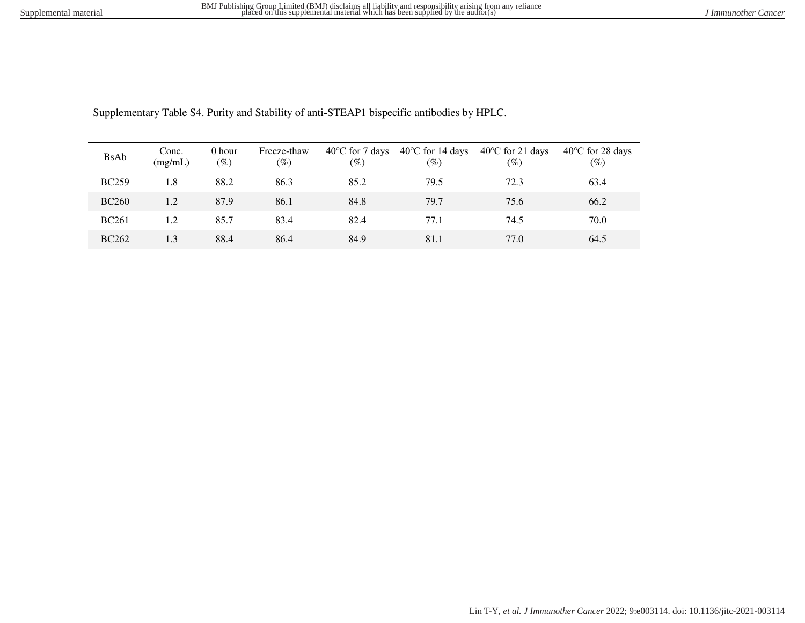| <b>BsAb</b>  | Conc.<br>(mg/mL) | 0 hour<br>(%) | Freeze-thaw<br>$(\%)$ | $40^{\circ}$ C for 7 days<br>$(\%)$ | $40^{\circ}$ C for 14 days<br>$(\%)$ | $40^{\circ}$ C for 21 days<br>$(\%)$ | $40^{\circ}$ C for 28 days<br>$(\%)$ |
|--------------|------------------|---------------|-----------------------|-------------------------------------|--------------------------------------|--------------------------------------|--------------------------------------|
| <b>BC259</b> | 1.8              | 88.2          | 86.3                  | 85.2                                | 79.5                                 | 72.3                                 | 63.4                                 |
| <b>BC260</b> | 1.2              | 87.9          | 86.1                  | 84.8                                | 79.7                                 | 75.6                                 | 66.2                                 |
| <b>BC261</b> | 1.2              | 85.7          | 83.4                  | 82.4                                | 77.1                                 | 74.5                                 | 70.0                                 |
| <b>BC262</b> | 1.3              | 88.4          | 86.4                  | 84.9                                | 81.1                                 | 77.0                                 | 64.5                                 |

Supplementary Table S4. Purity and Stability of anti-STEAP1 bispecific antibodies by HPLC.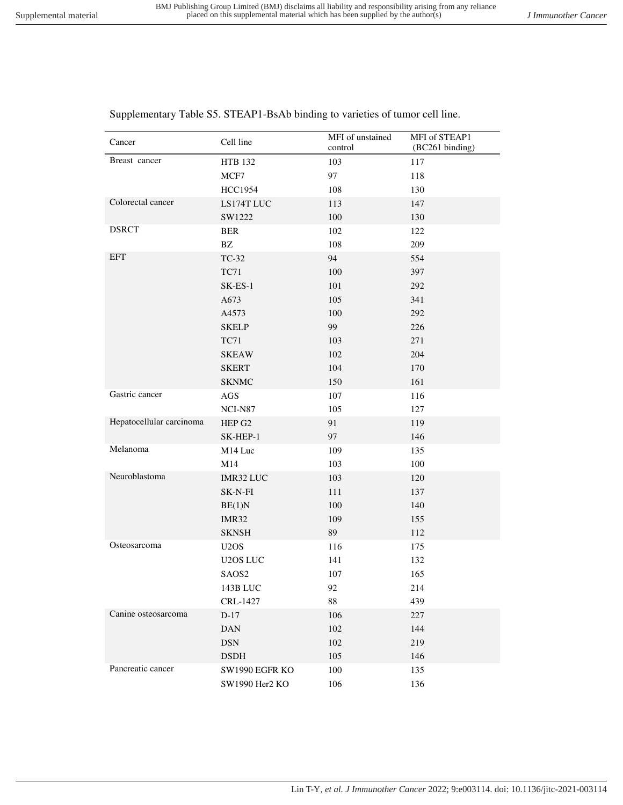control

MFI of STEAP1 (BC261 binding)

| Breast cancer            | <b>HTB 132</b>                | 103    | 117 |
|--------------------------|-------------------------------|--------|-----|
|                          | MCF7                          | 97     | 118 |
|                          | <b>HCC1954</b>                | 108    | 130 |
| Colorectal cancer        | LS174T LUC                    | 113    | 147 |
|                          | SW1222                        | 100    | 130 |
| <b>DSRCT</b>             | <b>BER</b>                    | 102    | 122 |
|                          | $\mathbf{B}\mathbf{Z}$        | 108    | 209 |
| <b>EFT</b>               | TC-32                         | 94     | 554 |
|                          | <b>TC71</b>                   | 100    | 397 |
|                          | $SK-ES-1$                     | 101    | 292 |
|                          | A673                          | 105    | 341 |
|                          | A4573                         | 100    | 292 |
|                          | <b>SKELP</b>                  | 99     | 226 |
|                          | <b>TC71</b>                   | 103    | 271 |
|                          | <b>SKEAW</b>                  | 102    | 204 |
|                          | <b>SKERT</b>                  | 104    | 170 |
|                          | <b>SKNMC</b>                  | 150    | 161 |
| Gastric cancer           | $\rm{AGS}$                    | 107    | 116 |
|                          | NCI-N87                       | 105    | 127 |
| Hepatocellular carcinoma | HEP G2                        | 91     | 119 |
|                          | SK-HEP-1                      | 97     | 146 |
| Melanoma                 | M14 Luc                       | 109    | 135 |
|                          | M14                           | 103    | 100 |
| Neuroblastoma            | IMR32 LUC                     | 103    | 120 |
|                          | SK-N-FI                       | 111    | 137 |
|                          | BE(1)N                        | 100    | 140 |
|                          | IMR32                         | 109    | 155 |
|                          | <b>SKNSH</b>                  | 89     | 112 |
| Osteosarcoma             | U <sub>2</sub> O <sub>S</sub> | 116    | 175 |
|                          | U2OS LUC                      | 141    | 132 |
|                          | SAOS2                         | 107    | 165 |
|                          | 143B LUC                      | 92     | 214 |
|                          | CRL-1427                      | $88\,$ | 439 |
| Canine osteosarcoma      | $D-17$                        | 106    | 227 |
|                          | <b>DAN</b>                    | 102    | 144 |
|                          | $DSN$                         | 102    | 219 |
|                          | <b>DSDH</b>                   | 105    | 146 |
| Pancreatic cancer        | SW1990 EGFR KO                | 100    | 135 |
|                          | SW1990 Her2 KO                | 106    | 136 |

Supplementary Table S5. STEAP1-BsAb binding to varieties of tumor cell line.

Cancer Cell line MFI of unstained<br>
Cell line control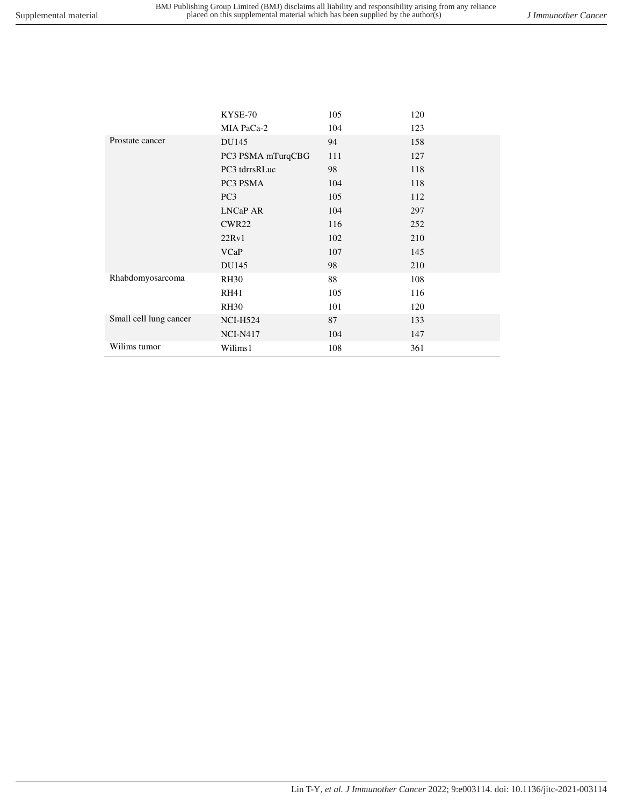|                        | KYSE-70           | 105 | 120 |
|------------------------|-------------------|-----|-----|
|                        | MIA PaCa-2        | 104 | 123 |
| Prostate cancer        | DU145             | 94  | 158 |
|                        | PC3 PSMA mTurqCBG | 111 | 127 |
|                        | PC3 tdrrsRLuc     | 98  | 118 |
|                        | PC3 PSMA          | 104 | 118 |
|                        | PC <sub>3</sub>   | 105 | 112 |
|                        | <b>LNCaP AR</b>   | 104 | 297 |
|                        | CWR <sub>22</sub> | 116 | 252 |
|                        | 22Rv1             | 102 | 210 |
|                        | <b>VCaP</b>       | 107 | 145 |
|                        | DU145             | 98  | 210 |
| Rhabdomyosarcoma       | <b>RH30</b>       | 88  | 108 |
|                        | <b>RH41</b>       | 105 | 116 |
|                        | <b>RH30</b>       | 101 | 120 |
| Small cell lung cancer | <b>NCI-H524</b>   | 87  | 133 |
|                        | <b>NCI-N417</b>   | 104 | 147 |
| Wilims tumor           | Wilims1           | 108 | 361 |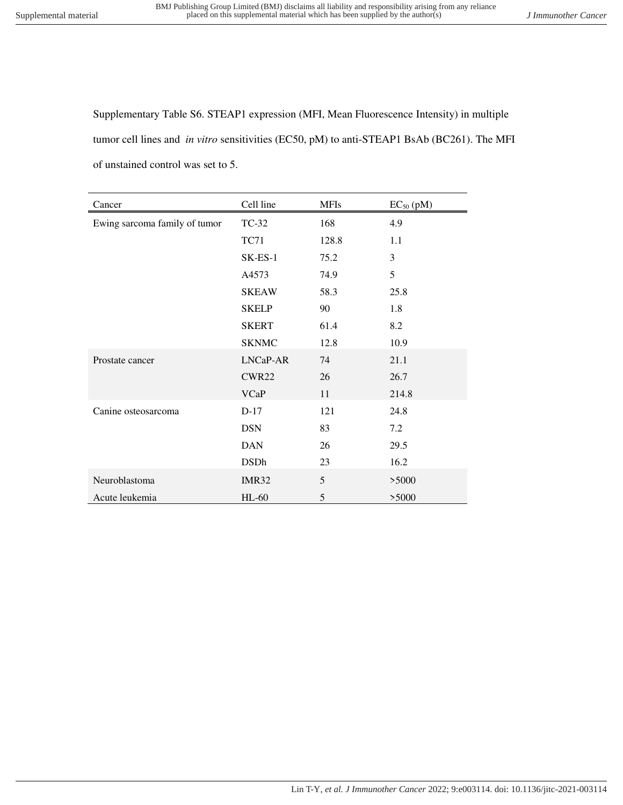Supplementary Table S6. STEAP1 expression (MFI, Mean Fluorescence Intensity) in multiple tumor cell lines and *in vitro* sensitivities (EC50, pM) to anti-STEAP1 BsAb (BC261). The MFI of unstained control was set to 5.

| Cancer                        | Cell line    | <b>MFIs</b> | $EC_{50}$ (pM) |
|-------------------------------|--------------|-------------|----------------|
| Ewing sarcoma family of tumor | TC-32        | 168         | 4.9            |
|                               | <b>TC71</b>  | 128.8       | 1.1            |
|                               | SK-ES-1      | 75.2        | 3              |
|                               | A4573        | 74.9        | 5              |
|                               | <b>SKEAW</b> | 58.3        | 25.8           |
|                               | <b>SKELP</b> | 90          | 1.8            |
|                               | <b>SKERT</b> | 61.4        | 8.2            |
|                               | <b>SKNMC</b> | 12.8        | 10.9           |
| Prostate cancer               | LNCaP-AR     | 74          | 21.1           |
|                               | CWR22        | 26          | 26.7           |
|                               | <b>VCaP</b>  | 11          | 214.8          |
| Canine osteosarcoma           | $D-17$       | 121         | 24.8           |
|                               | <b>DSN</b>   | 83          | 7.2            |
|                               | <b>DAN</b>   | 26          | 29.5           |
|                               | <b>DSDh</b>  | 23          | 16.2           |
| Neuroblastoma                 | IMR32        | 5           | >5000          |
| Acute leukemia                | $HL-60$      | 5           | >5000          |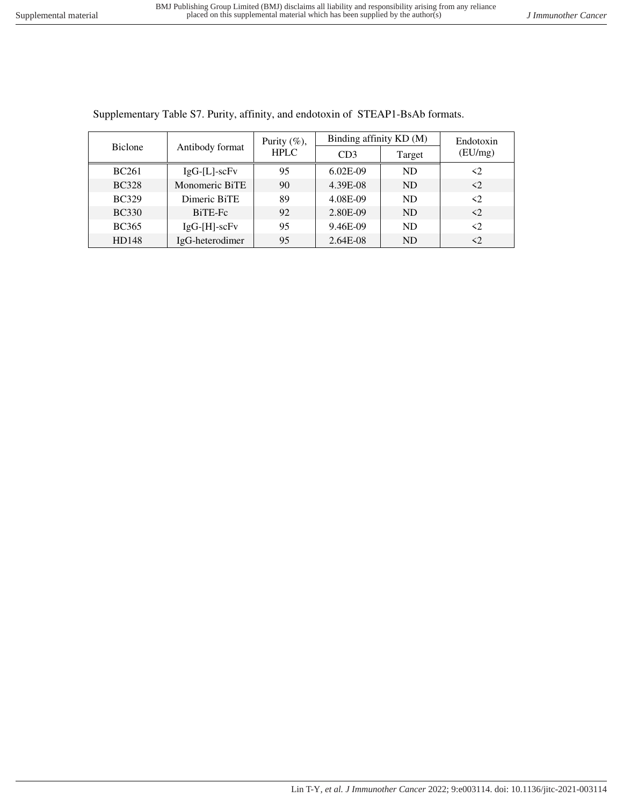| <b>Biclone</b> | Antibody format    | Purity $(\%)$ ,<br><b>HPLC</b> | Binding affinity KD (M) | Endotoxin |                     |
|----------------|--------------------|--------------------------------|-------------------------|-----------|---------------------|
|                |                    |                                | CD3                     | Target    | (EU/mg)             |
| <b>BC261</b>   | $IgG-[L]$ -sc $Fv$ | 95                             | $6.02E-09$              | <b>ND</b> | $\langle 2 \rangle$ |
| <b>BC328</b>   | Monomeric BiTE     | 90                             | 4.39E-08                | <b>ND</b> | $\langle 2 \rangle$ |
| <b>BC329</b>   | Dimeric BiTE       | 89                             | 4.08E-09                | ND        | $\langle$ 2         |
| <b>BC330</b>   | BiTE-Fc            | 92                             | 2.80E-09                | <b>ND</b> | $\langle 2 \rangle$ |
| <b>BC365</b>   | $IgG-[H]-scFv$     | 95                             | 9.46E-09                | <b>ND</b> | $\langle 2 \rangle$ |
| HD148          | IgG-heterodimer    | 95                             | 2.64E-08                | <b>ND</b> | $\triangleleft$     |

Supplementary Table S7. Purity, affinity, and endotoxin of STEAP1-BsAb formats.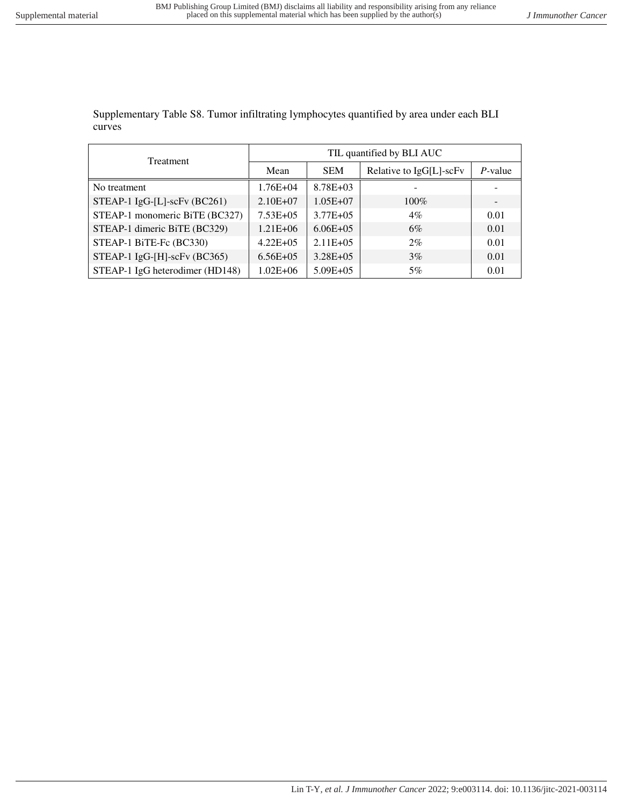Supplementary Table S8. Tumor infiltrating lymphocytes quantified by area under each BLI curves

| Treatment                         | TIL quantified by BLI AUC |               |                         |            |  |  |
|-----------------------------------|---------------------------|---------------|-------------------------|------------|--|--|
|                                   | Mean                      | <b>SEM</b>    | Relative to IgG[L]-scFv | $P$ -value |  |  |
| No treatment                      | $1.76E + 04$              | $8.78E + 03$  |                         |            |  |  |
| STEAP-1 $IgG-[L]$ -scFv $(BC261)$ | $2.10E + 07$              | $1.05E + 07$  | $100\%$                 |            |  |  |
| STEAP-1 monomeric BiTE (BC327)    | $7.53E + 05$              | $3.77E + 0.5$ | 4%                      | 0.01       |  |  |
| STEAP-1 dimeric BiTE (BC329)      | $1.21E + 06$              | $6.06E + 05$  | 6%                      | 0.01       |  |  |
| STEAP-1 BiTE-Fc (BC330)           | $4.22E + 05$              | $2.11E + 05$  | $2\%$                   | 0.01       |  |  |
| STEAP-1 IgG-[H]-scFv (BC365)      | $6.56E + 05$              | $3.28E + 05$  | 3%                      | 0.01       |  |  |
| STEAP-1 IgG heterodimer (HD148)   | $1.02E + 06$              | $5.09E + 05$  | 5%                      | 0.01       |  |  |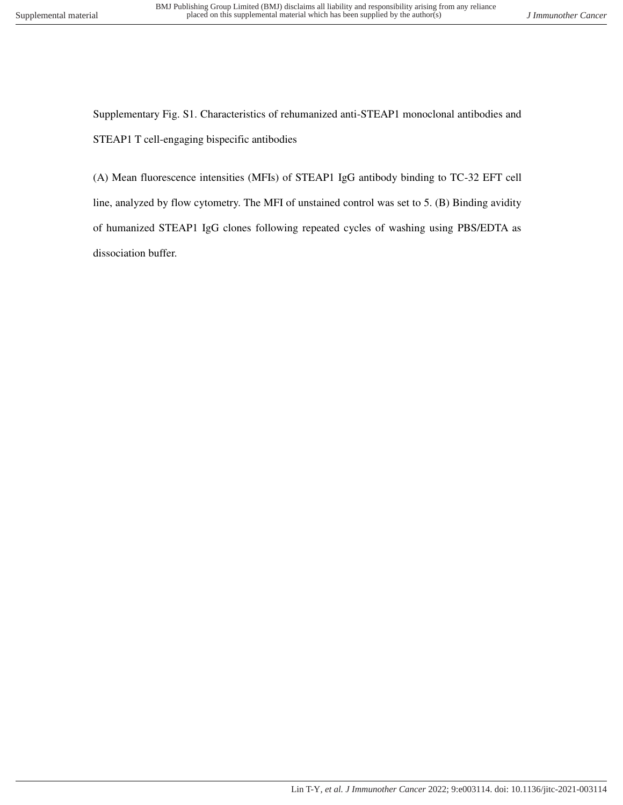Supplementary Fig. S1. Characteristics of rehumanized anti-STEAP1 monoclonal antibodies and STEAP1 T cell-engaging bispecific antibodies

(A) Mean fluorescence intensities (MFIs) of STEAP1 IgG antibody binding to TC-32 EFT cell line, analyzed by flow cytometry. The MFI of unstained control was set to 5. (B) Binding avidity of humanized STEAP1 IgG clones following repeated cycles of washing using PBS/EDTA as dissociation buffer.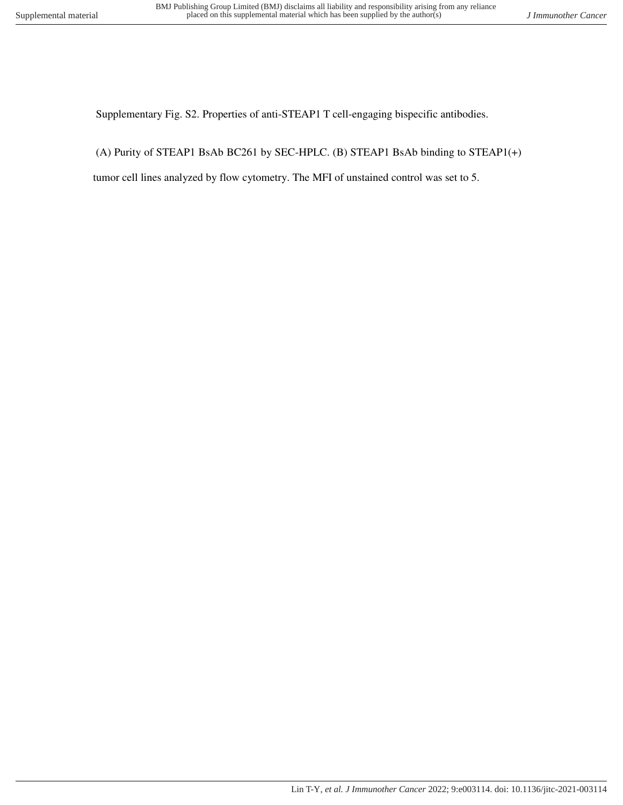Supplementary Fig. S2. Properties of anti-STEAP1 T cell-engaging bispecific antibodies.

(A) Purity of STEAP1 BsAb BC261 by SEC-HPLC. (B) STEAP1 BsAb binding to STEAP1(+)

tumor cell lines analyzed by flow cytometry. The MFI of unstained control was set to 5.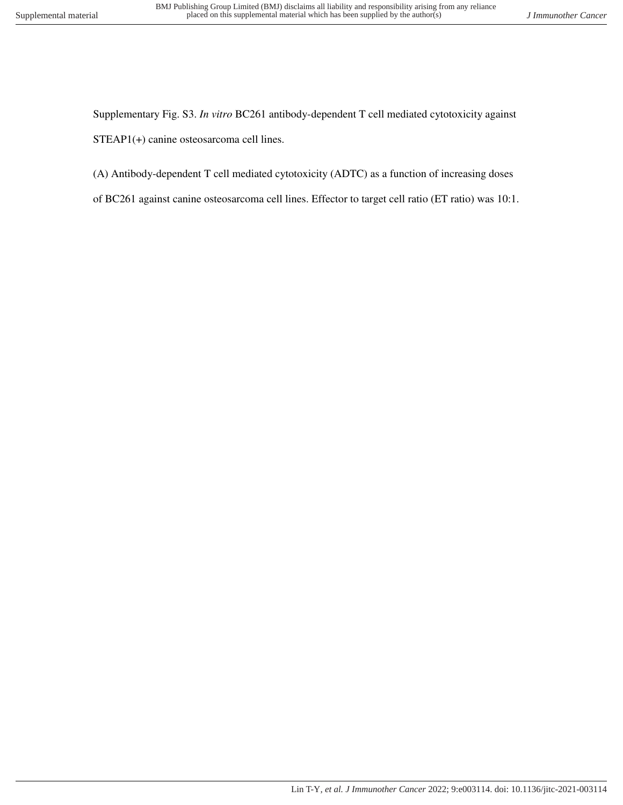Supplementary Fig. S3. *In vitro* BC261 antibody-dependent T cell mediated cytotoxicity against STEAP1(+) canine osteosarcoma cell lines.

- (A) Antibody-dependent T cell mediated cytotoxicity (ADTC) as a function of increasing doses
- of BC261 against canine osteosarcoma cell lines. Effector to target cell ratio (ET ratio) was 10:1.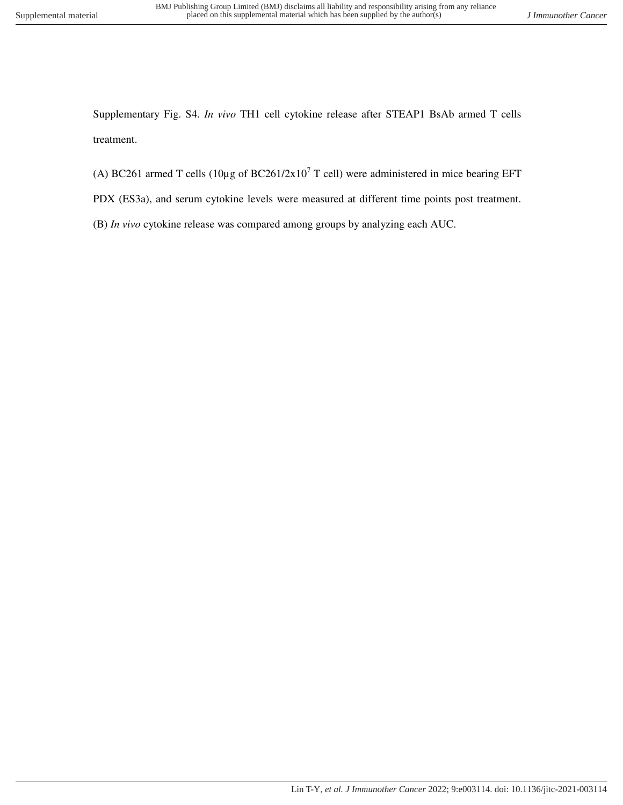Supplementary Fig. S4. *In vivo* TH1 cell cytokine release after STEAP1 BsAb armed T cells treatment.

- (A) BC261 armed T cells (10 $\mu$ g of BC261/2x10<sup>7</sup> T cell) were administered in mice bearing EFT
- PDX (ES3a), and serum cytokine levels were measured at different time points post treatment.
- (B) *In vivo* cytokine release was compared among groups by analyzing each AUC.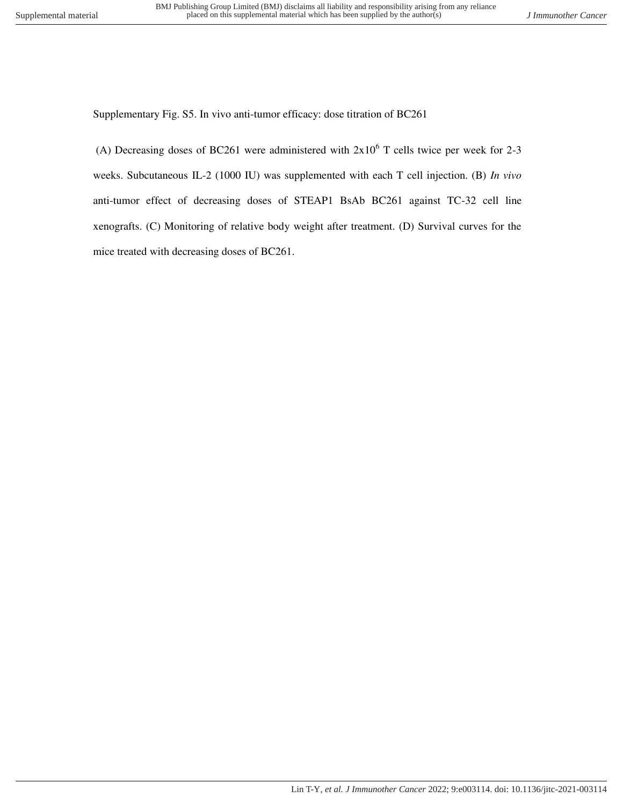Supplementary Fig. S5. In vivo anti-tumor efficacy: dose titration of BC261

(A) Decreasing doses of BC261 were administered with  $2x10^6$  T cells twice per week for 2-3 weeks. Subcutaneous IL-2 (1000 IU) was supplemented with each T cell injection. (B) *In vivo* anti-tumor effect of decreasing doses of STEAP1 BsAb BC261 against TC-32 cell line xenografts. (C) Monitoring of relative body weight after treatment. (D) Survival curves for the mice treated with decreasing doses of BC261.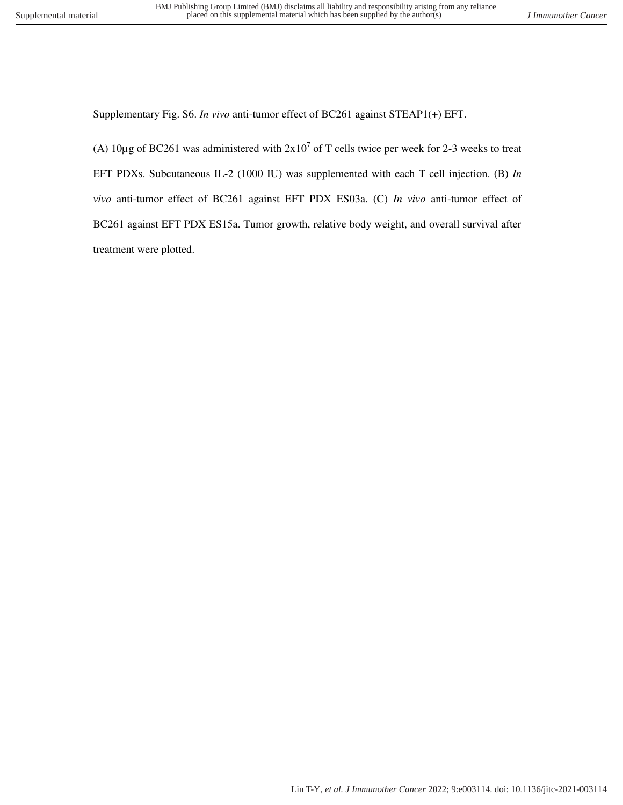Supplementary Fig. S6. *In vivo* anti-tumor effect of BC261 against STEAP1(+) EFT.

(A)  $10\mu$ g of BC261 was administered with  $2x10^7$  of T cells twice per week for 2-3 weeks to treat EFT PDXs. Subcutaneous IL-2 (1000 IU) was supplemented with each T cell injection. (B) *In vivo* anti-tumor effect of BC261 against EFT PDX ES03a. (C) *In vivo* anti-tumor effect of BC261 against EFT PDX ES15a. Tumor growth, relative body weight, and overall survival after treatment were plotted.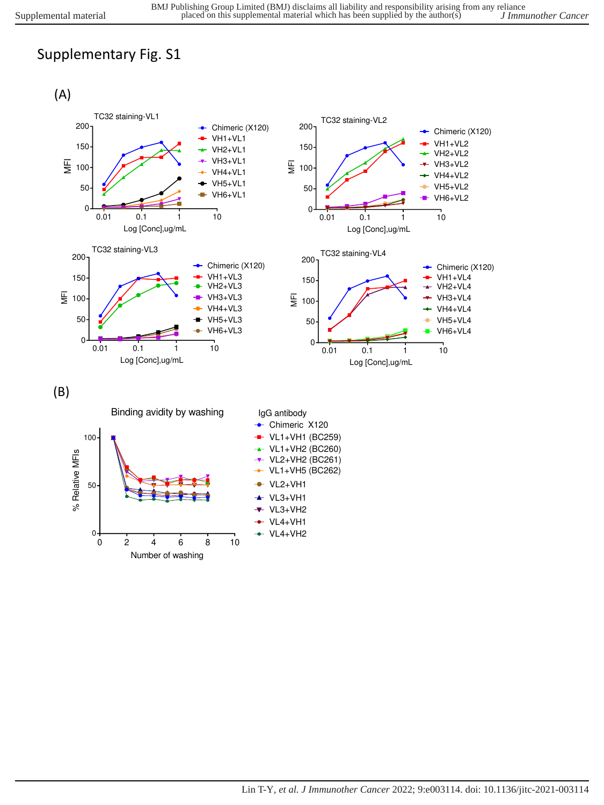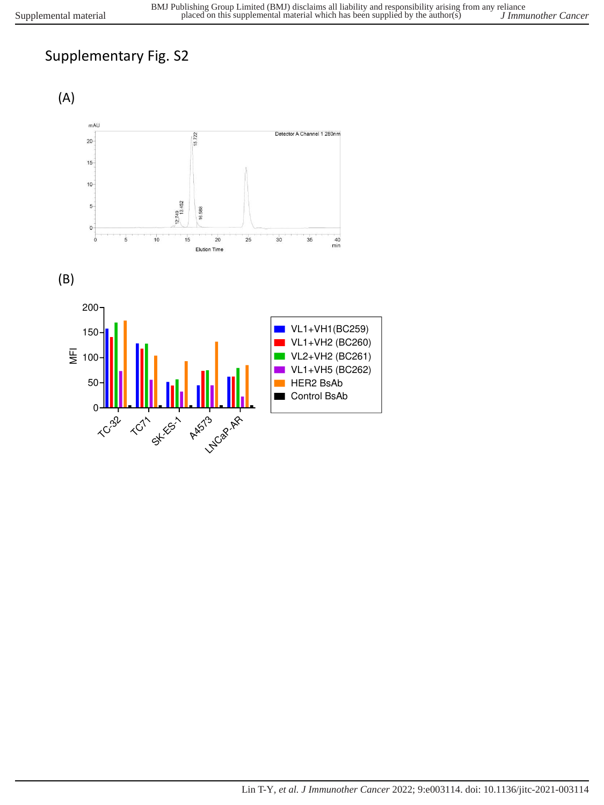





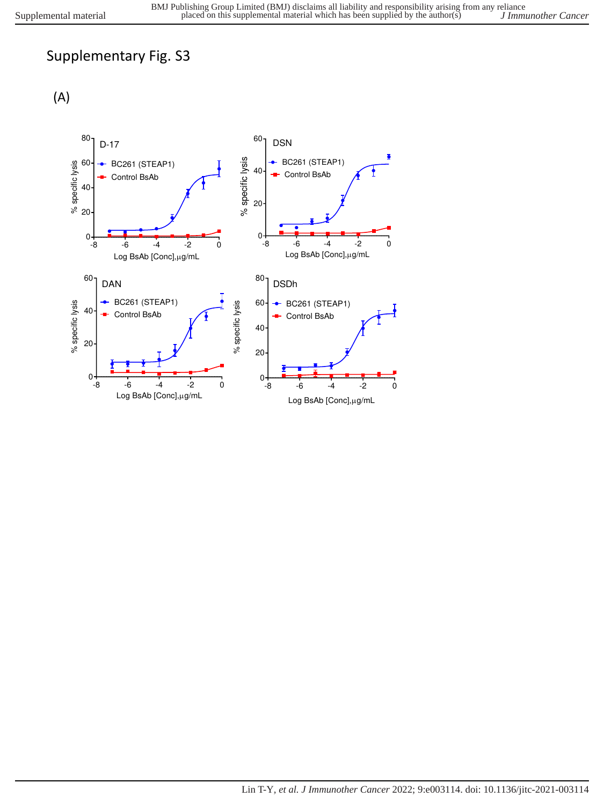(A)

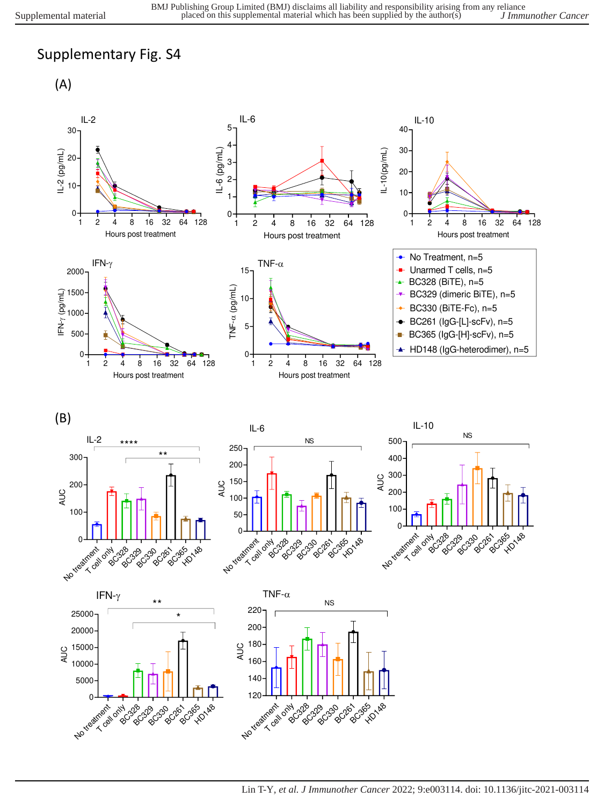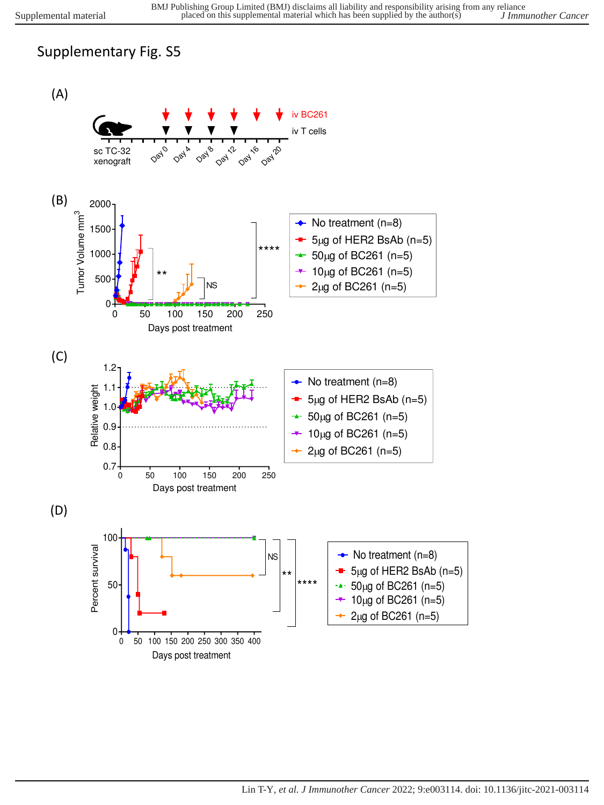